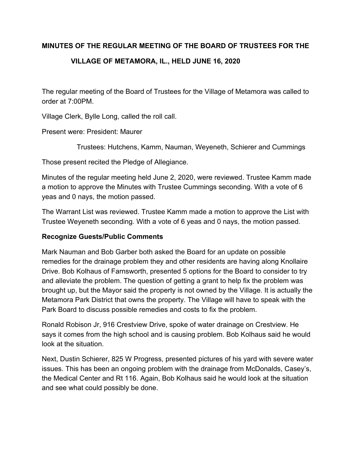## **MINUTES OF THE REGULAR MEETING OF THE BOARD OF TRUSTEES FOR THE**

## **VILLAGE OF METAMORA, IL., HELD JUNE 16, 2020**

The regular meeting of the Board of Trustees for the Village of Metamora was called to order at 7:00PM.

Village Clerk, Bylle Long, called the roll call.

Present were: President: Maurer

Trustees: Hutchens, Kamm, Nauman, Weyeneth, Schierer and Cummings

Those present recited the Pledge of Allegiance.

Minutes of the regular meeting held June 2, 2020, were reviewed. Trustee Kamm made a motion to approve the Minutes with Trustee Cummings seconding. With a vote of 6 yeas and 0 nays, the motion passed.

The Warrant List was reviewed. Trustee Kamm made a motion to approve the List with Trustee Weyeneth seconding. With a vote of 6 yeas and 0 nays, the motion passed.

## **Recognize Guests/Public Comments**

Mark Nauman and Bob Garber both asked the Board for an update on possible remedies for the drainage problem they and other residents are having along Knollaire Drive. Bob Kolhaus of Farnsworth, presented 5 options for the Board to consider to try and alleviate the problem. The question of getting a grant to help fix the problem was brought up, but the Mayor said the property is not owned by the Village. It is actually the Metamora Park District that owns the property. The Village will have to speak with the Park Board to discuss possible remedies and costs to fix the problem.

Ronald Robison Jr, 916 Crestview Drive, spoke of water drainage on Crestview. He says it comes from the high school and is causing problem. Bob Kolhaus said he would look at the situation.

Next, Dustin Schierer, 825 W Progress, presented pictures of his yard with severe water issues. This has been an ongoing problem with the drainage from McDonalds, Casey's, the Medical Center and Rt 116. Again, Bob Kolhaus said he would look at the situation and see what could possibly be done.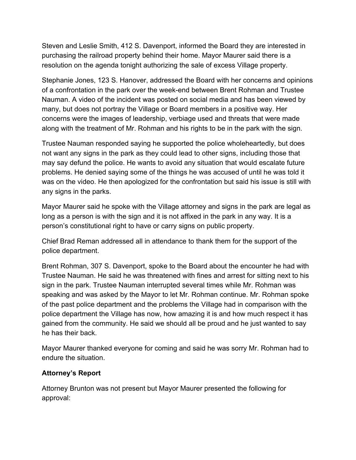Steven and Leslie Smith, 412 S. Davenport, informed the Board they are interested in purchasing the railroad property behind their home. Mayor Maurer said there is a resolution on the agenda tonight authorizing the sale of excess Village property.

Stephanie Jones, 123 S. Hanover, addressed the Board with her concerns and opinions of a confrontation in the park over the week-end between Brent Rohman and Trustee Nauman. A video of the incident was posted on social media and has been viewed by many, but does not portray the Village or Board members in a positive way. Her concerns were the images of leadership, verbiage used and threats that were made along with the treatment of Mr. Rohman and his rights to be in the park with the sign.

Trustee Nauman responded saying he supported the police wholeheartedly, but does not want any signs in the park as they could lead to other signs, including those that may say defund the police. He wants to avoid any situation that would escalate future problems. He denied saying some of the things he was accused of until he was told it was on the video. He then apologized for the confrontation but said his issue is still with any signs in the parks.

Mayor Maurer said he spoke with the Village attorney and signs in the park are legal as long as a person is with the sign and it is not affixed in the park in any way. It is a person's constitutional right to have or carry signs on public property.

Chief Brad Reman addressed all in attendance to thank them for the support of the police department.

Brent Rohman, 307 S. Davenport, spoke to the Board about the encounter he had with Trustee Nauman. He said he was threatened with fines and arrest for sitting next to his sign in the park. Trustee Nauman interrupted several times while Mr. Rohman was speaking and was asked by the Mayor to let Mr. Rohman continue. Mr. Rohman spoke of the past police department and the problems the Village had in comparison with the police department the Village has now, how amazing it is and how much respect it has gained from the community. He said we should all be proud and he just wanted to say he has their back.

Mayor Maurer thanked everyone for coming and said he was sorry Mr. Rohman had to endure the situation.

# **Attorney's Report**

Attorney Brunton was not present but Mayor Maurer presented the following for approval: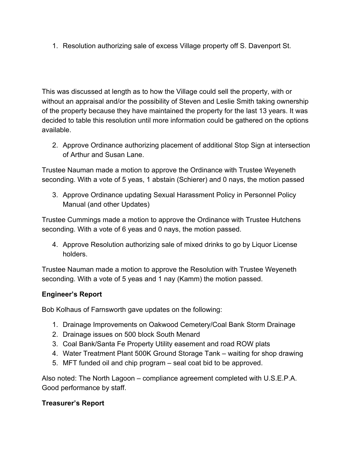1. Resolution authorizing sale of excess Village property off S. Davenport St.

This was discussed at length as to how the Village could sell the property, with or without an appraisal and/or the possibility of Steven and Leslie Smith taking ownership of the property because they have maintained the property for the last 13 years. It was decided to table this resolution until more information could be gathered on the options available.

2. Approve Ordinance authorizing placement of additional Stop Sign at intersection of Arthur and Susan Lane.

Trustee Nauman made a motion to approve the Ordinance with Trustee Weyeneth seconding. With a vote of 5 yeas, 1 abstain (Schierer) and 0 nays, the motion passed

3. Approve Ordinance updating Sexual Harassment Policy in Personnel Policy Manual (and other Updates)

Trustee Cummings made a motion to approve the Ordinance with Trustee Hutchens seconding. With a vote of 6 yeas and 0 nays, the motion passed.

4. Approve Resolution authorizing sale of mixed drinks to go by Liquor License holders.

Trustee Nauman made a motion to approve the Resolution with Trustee Weyeneth seconding. With a vote of 5 yeas and 1 nay (Kamm) the motion passed.

# **Engineer's Report**

Bob Kolhaus of Farnsworth gave updates on the following:

- 1. Drainage Improvements on Oakwood Cemetery/Coal Bank Storm Drainage
- 2. Drainage issues on 500 block South Menard
- 3. Coal Bank/Santa Fe Property Utility easement and road ROW plats
- 4. Water Treatment Plant 500K Ground Storage Tank waiting for shop drawing
- 5. MFT funded oil and chip program seal coat bid to be approved.

Also noted: The North Lagoon – compliance agreement completed with U.S.E.P.A. Good performance by staff.

# **Treasurer's Report**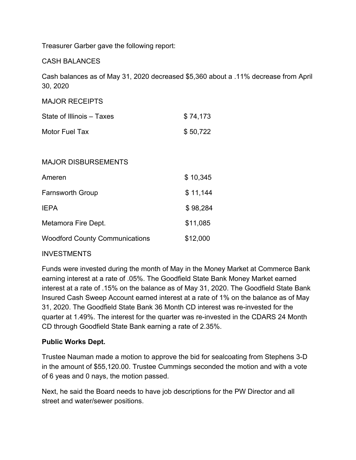Treasurer Garber gave the following report:

### CASH BALANCES

Cash balances as of May 31, 2020 decreased \$5,360 about a .11% decrease from April 30, 2020

### MAJOR RECEIPTS

| State of Illinois – Taxes | \$74,173 |
|---------------------------|----------|
| Motor Fuel Tax            | \$50,722 |

#### MAJOR DISBURSEMENTS

| Ameren                                | \$10,345 |
|---------------------------------------|----------|
| <b>Farnsworth Group</b>               | \$11,144 |
| <b>IEPA</b>                           | \$98,284 |
| Metamora Fire Dept.                   | \$11,085 |
| <b>Woodford County Communications</b> | \$12,000 |

#### INVESTMENTS

Funds were invested during the month of May in the Money Market at Commerce Bank earning interest at a rate of .05%. The Goodfield State Bank Money Market earned interest at a rate of .15% on the balance as of May 31, 2020. The Goodfield State Bank Insured Cash Sweep Account earned interest at a rate of 1% on the balance as of May 31, 2020. The Goodfield State Bank 36 Month CD interest was re-invested for the quarter at 1.49%. The interest for the quarter was re-invested in the CDARS 24 Month CD through Goodfield State Bank earning a rate of 2.35%.

## **Public Works Dept.**

Trustee Nauman made a motion to approve the bid for sealcoating from Stephens 3-D in the amount of \$55,120.00. Trustee Cummings seconded the motion and with a vote of 6 yeas and 0 nays, the motion passed.

Next, he said the Board needs to have job descriptions for the PW Director and all street and water/sewer positions.